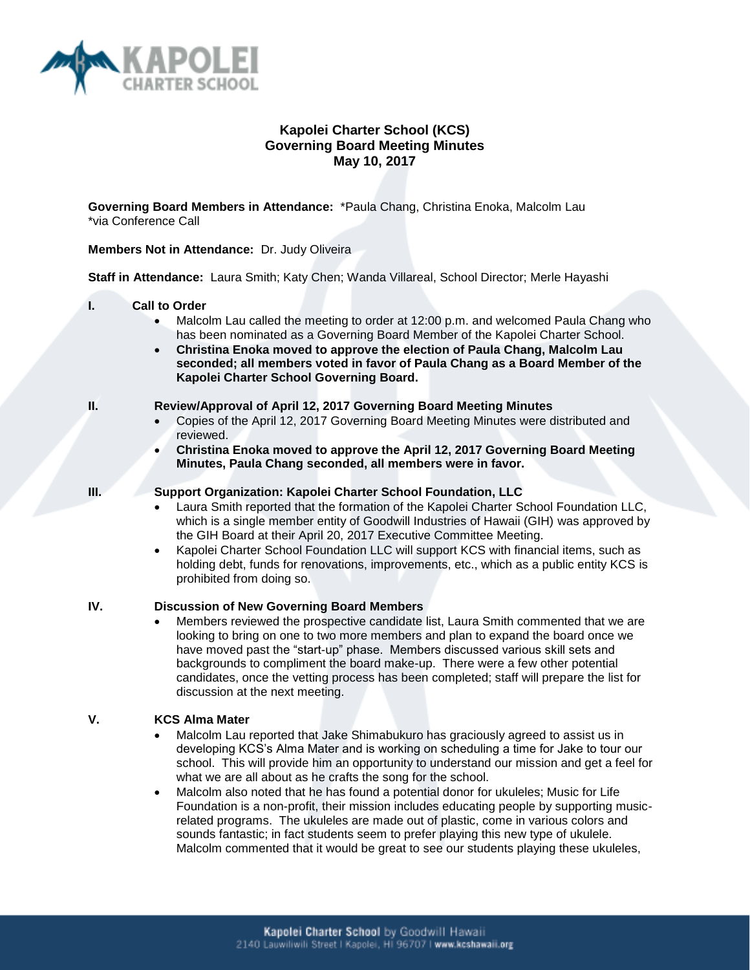

# **Kapolei Charter School (KCS) Governing Board Meeting Minutes May 10, 2017**

**Governing Board Members in Attendance:** \*Paula Chang, Christina Enoka, Malcolm Lau \*via Conference Call

## **Members Not in Attendance:** Dr. Judy Oliveira

**Staff in Attendance:** Laura Smith; Katy Chen; Wanda Villareal, School Director; Merle Hayashi

#### **I. Call to Order**

- Malcolm Lau called the meeting to order at 12:00 p.m. and welcomed Paula Chang who has been nominated as a Governing Board Member of the Kapolei Charter School.
- **Christina Enoka moved to approve the election of Paula Chang, Malcolm Lau seconded; all members voted in favor of Paula Chang as a Board Member of the Kapolei Charter School Governing Board.**

### **II. Review/Approval of April 12, 2017 Governing Board Meeting Minutes**

- Copies of the April 12, 2017 Governing Board Meeting Minutes were distributed and reviewed.
- **Christina Enoka moved to approve the April 12, 2017 Governing Board Meeting Minutes, Paula Chang seconded, all members were in favor.**

# **III. Support Organization: Kapolei Charter School Foundation, LLC**

- Laura Smith reported that the formation of the Kapolei Charter School Foundation LLC, which is a single member entity of Goodwill Industries of Hawaii (GIH) was approved by the GIH Board at their April 20, 2017 Executive Committee Meeting.
- Kapolei Charter School Foundation LLC will support KCS with financial items, such as holding debt, funds for renovations, improvements, etc., which as a public entity KCS is prohibited from doing so.

# **IV. Discussion of New Governing Board Members**

 Members reviewed the prospective candidate list, Laura Smith commented that we are looking to bring on one to two more members and plan to expand the board once we have moved past the "start-up" phase. Members discussed various skill sets and backgrounds to compliment the board make-up. There were a few other potential candidates, once the vetting process has been completed; staff will prepare the list for discussion at the next meeting.

#### **V. KCS Alma Mater**

- Malcolm Lau reported that Jake Shimabukuro has graciously agreed to assist us in developing KCS's Alma Mater and is working on scheduling a time for Jake to tour our school. This will provide him an opportunity to understand our mission and get a feel for what we are all about as he crafts the song for the school.
- Malcolm also noted that he has found a potential donor for ukuleles; Music for Life Foundation is a non-profit, their mission includes educating people by supporting musicrelated programs. The ukuleles are made out of plastic, come in various colors and sounds fantastic; in fact students seem to prefer playing this new type of ukulele. Malcolm commented that it would be great to see our students playing these ukuleles,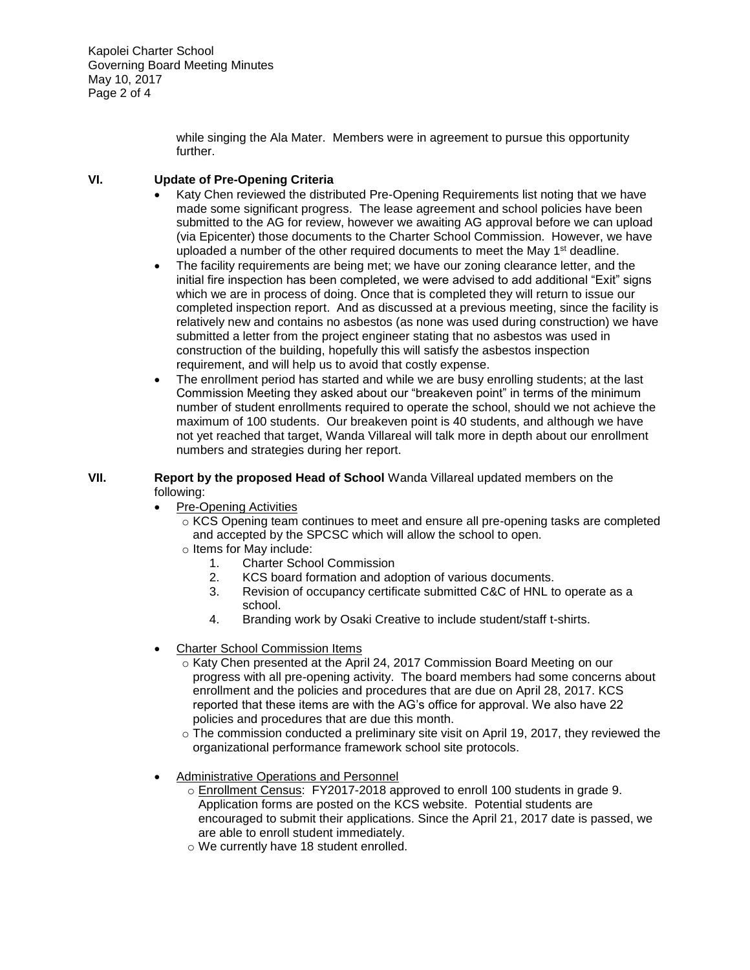Kapolei Charter School Governing Board Meeting Minutes May 10, 2017 Page 2 of 4

> while singing the Ala Mater. Members were in agreement to pursue this opportunity further.

# **VI. Update of Pre-Opening Criteria**

- Katy Chen reviewed the distributed Pre-Opening Requirements list noting that we have made some significant progress. The lease agreement and school policies have been submitted to the AG for review, however we awaiting AG approval before we can upload (via Epicenter) those documents to the Charter School Commission. However, we have uploaded a number of the other required documents to meet the May  $1<sup>st</sup>$  deadline.
- The facility requirements are being met; we have our zoning clearance letter, and the initial fire inspection has been completed, we were advised to add additional "Exit" signs which we are in process of doing. Once that is completed they will return to issue our completed inspection report. And as discussed at a previous meeting, since the facility is relatively new and contains no asbestos (as none was used during construction) we have submitted a letter from the project engineer stating that no asbestos was used in construction of the building, hopefully this will satisfy the asbestos inspection requirement, and will help us to avoid that costly expense.
- The enrollment period has started and while we are busy enrolling students; at the last Commission Meeting they asked about our "breakeven point" in terms of the minimum number of student enrollments required to operate the school, should we not achieve the maximum of 100 students. Our breakeven point is 40 students, and although we have not yet reached that target, Wanda Villareal will talk more in depth about our enrollment numbers and strategies during her report.

## **VII. Report by the proposed Head of School** Wanda Villareal updated members on the following:

- Pre-Opening Activities
	- o KCS Opening team continues to meet and ensure all pre-opening tasks are completed and accepted by the SPCSC which will allow the school to open.
	- o Items for May include:
		- 1. Charter School Commission
		- 2. KCS board formation and adoption of various documents.
		- 3. Revision of occupancy certificate submitted C&C of HNL to operate as a school.
		- 4. Branding work by Osaki Creative to include student/staff t-shirts.
- Charter School Commission Items
	- o Katy Chen presented at the April 24, 2017 Commission Board Meeting on our progress with all pre-opening activity. The board members had some concerns about enrollment and the policies and procedures that are due on April 28, 2017. KCS reported that these items are with the AG's office for approval. We also have 22 policies and procedures that are due this month.
	- $\circ$  The commission conducted a preliminary site visit on April 19, 2017, they reviewed the organizational performance framework school site protocols.
- Administrative Operations and Personnel
	- o Enrollment Census: FY2017-2018 approved to enroll 100 students in grade 9. Application forms are posted on the KCS website. Potential students are encouraged to submit their applications. Since the April 21, 2017 date is passed, we are able to enroll student immediately.
	- o We currently have 18 student enrolled.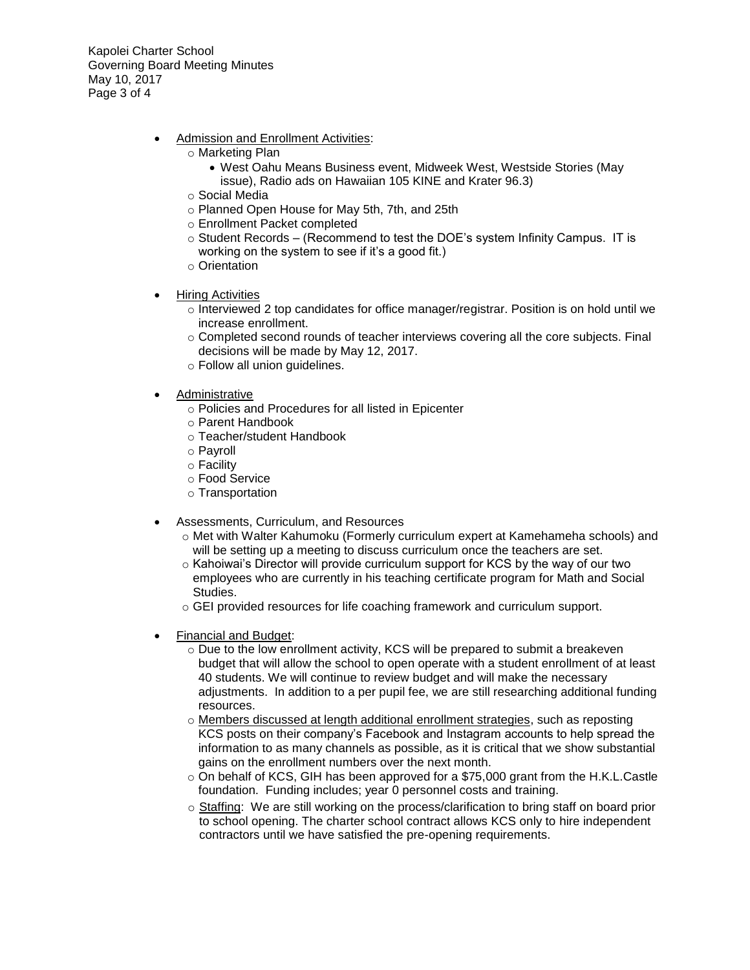Kapolei Charter School Governing Board Meeting Minutes May 10, 2017 Page 3 of 4

- Admission and Enrollment Activities:
	- o Marketing Plan
		- West Oahu Means Business event, Midweek West, Westside Stories (May issue), Radio ads on Hawaiian 105 KINE and Krater 96.3)
	- o Social Media
	- o Planned Open House for May 5th, 7th, and 25th
	- o Enrollment Packet completed
	- o Student Records (Recommend to test the DOE's system Infinity Campus. IT is working on the system to see if it's a good fit.)
	- o Orientation
- Hiring Activities
	- o Interviewed 2 top candidates for office manager/registrar. Position is on hold until we increase enrollment.
	- o Completed second rounds of teacher interviews covering all the core subjects. Final decisions will be made by May 12, 2017.
	- o Follow all union guidelines.
- Administrative
	- o Policies and Procedures for all listed in Epicenter
	- o Parent Handbook
	- o Teacher/student Handbook
	- o Payroll
	- o Facility
	- o Food Service
	- o Transportation
- Assessments, Curriculum, and Resources
	- o Met with Walter Kahumoku (Formerly curriculum expert at Kamehameha schools) and will be setting up a meeting to discuss curriculum once the teachers are set.
	- $\circ$  Kahoiwai's Director will provide curriculum support for KCS by the way of our two employees who are currently in his teaching certificate program for Math and Social Studies.
	- o GEI provided resources for life coaching framework and curriculum support.
- Financial and Budget:
	- $\circ$  Due to the low enrollment activity, KCS will be prepared to submit a breakeven budget that will allow the school to open operate with a student enrollment of at least 40 students. We will continue to review budget and will make the necessary adjustments. In addition to a per pupil fee, we are still researching additional funding resources.
	- o Members discussed at length additional enrollment strategies, such as reposting KCS posts on their company's Facebook and Instagram accounts to help spread the information to as many channels as possible, as it is critical that we show substantial gains on the enrollment numbers over the next month.
	- $\circ$  On behalf of KCS, GIH has been approved for a \$75,000 grant from the H.K.L.Castle foundation. Funding includes; year 0 personnel costs and training.
	- o Staffing: We are still working on the process/clarification to bring staff on board prior to school opening. The charter school contract allows KCS only to hire independent contractors until we have satisfied the pre-opening requirements.